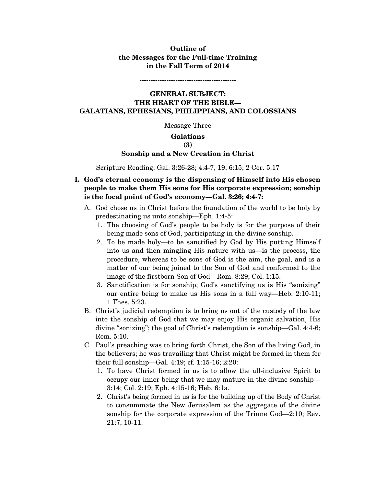# **Outline of the Messages for the Full-time Training in the Fall Term of 2014**

**-------------------------------------------** 

# **GENERAL SUBJECT: THE HEART OF THE BIBLE— GALATIANS, EPHESIANS, PHILIPPIANS, AND COLOSSIANS**

Message Three

#### **Galatians**

### **(3)**

### **Sonship and a New Creation in Christ**

Scripture Reading: Gal. 3:26-28; 4:4-7, 19; 6:15; 2 Cor. 5:17

- **I. God's eternal economy is the dispensing of Himself into His chosen people to make them His sons for His corporate expression; sonship is the focal point of God's economy—Gal. 3:26; 4:4-7:** 
	- A. God chose us in Christ before the foundation of the world to be holy by predestinating us unto sonship—Eph. 1:4-5:
		- 1. The choosing of God's people to be holy is for the purpose of their being made sons of God, participating in the divine sonship.
		- 2. To be made holy—to be sanctified by God by His putting Himself into us and then mingling His nature with us—is the process, the procedure, whereas to be sons of God is the aim, the goal, and is a matter of our being joined to the Son of God and conformed to the image of the firstborn Son of God—Rom. 8:29; Col. 1:15.
		- 3. Sanctification is for sonship; God's sanctifying us is His "sonizing" our entire being to make us His sons in a full way—Heb. 2:10-11; 1 Thes. 5:23.
	- B. Christ's judicial redemption is to bring us out of the custody of the law into the sonship of God that we may enjoy His organic salvation, His divine "sonizing"; the goal of Christ's redemption is sonship—Gal. 4:4-6; Rom. 5:10.
	- C. Paul's preaching was to bring forth Christ, the Son of the living God, in the believers; he was travailing that Christ might be formed in them for their full sonship—Gal. 4:19; cf. 1:15-16; 2:20:
		- 1. To have Christ formed in us is to allow the all-inclusive Spirit to occupy our inner being that we may mature in the divine sonship— 3:14; Col. 2:19; Eph. 4:15-16; Heb. 6:1a.
		- 2. Christ's being formed in us is for the building up of the Body of Christ to consummate the New Jerusalem as the aggregate of the divine sonship for the corporate expression of the Triune God—2:10; Rev. 21:7, 10-11.